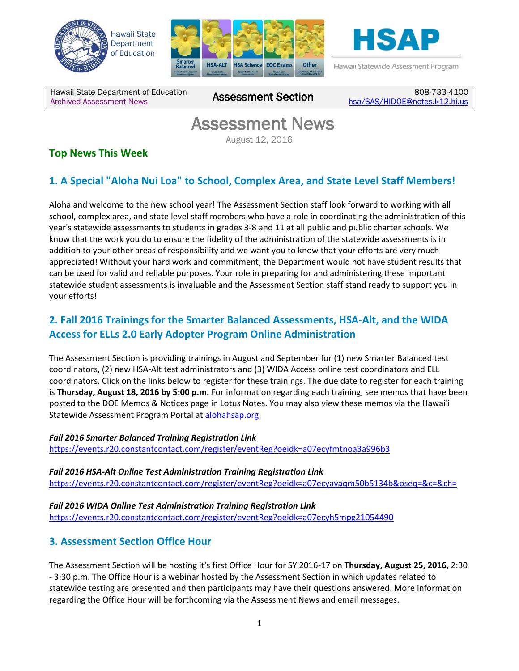





Hawaii Statewide Assessment Program

Hawaii State Department of Education Hawaii State Department of Education **Assessment Section** 

808-733-4100 [hsa/SAS/HIDOE@notes.k12.hi.us](mailto:hsa/SAS/HIDOE@notes.k12.hi.us)

# Assessment News

August 12, 2016

# **Top News This Week**

# **1. A Special "Aloha Nui Loa" to School, Complex Area, and State Level Staff Members!**

Aloha and welcome to the new school year! The Assessment Section staff look forward to working with all school, complex area, and state level staff members who have a role in coordinating the administration of this year's statewide assessments to students in grades 3-8 and 11 at all public and public charter schools. We know that the work you do to ensure the fidelity of the administration of the statewide assessments is in addition to your other areas of responsibility and we want you to know that your efforts are very much appreciated! Without your hard work and commitment, the Department would not have student results that can be used for valid and reliable purposes. Your role in preparing for and administering these important statewide student assessments is invaluable and the Assessment Section staff stand ready to support you in your efforts!

# **2. Fall 2016 Trainings for the Smarter Balanced Assessments, HSA-Alt, and the WIDA Access for ELLs 2.0 Early Adopter Program Online Administration**

The Assessment Section is providing trainings in August and September for (1) new Smarter Balanced test coordinators, (2) new HSA-Alt test administrators and (3) WIDA Access online test coordinators and ELL coordinators. Click on the links below to register for these trainings. The due date to register for each training is **Thursday, August 18, 2016 by 5:00 p.m.** For information regarding each training, see memos that have been posted to the DOE Memos & Notices page in Lotus Notes. You may also view these memos via the Hawai'i Statewide Assessment Program Portal at alohahsap.org.

*Fall 2016 Smarter Balanced Training Registration Link*

<https://events.r20.constantcontact.com/register/eventReg?oeidk=a07ecyfmtnoa3a996b3>

*Fall 2016 HSA-Alt Online Test Administration Training Registration Link* <https://events.r20.constantcontact.com/register/eventReg?oeidk=a07ecyayaqm50b5134b&oseq=&c=&ch=>

*Fall 2016 WIDA Online Test Administration Training Registration Link* <https://events.r20.constantcontact.com/register/eventReg?oeidk=a07ecyh5mpg21054490>

## **3. Assessment Section Office Hour**

The Assessment Section will be hosting it's first Office Hour for SY 2016-17 on **Thursday, August 25, 2016**, 2:30 - 3:30 p.m. The Office Hour is a webinar hosted by the Assessment Section in which updates related to statewide testing are presented and then participants may have their questions answered. More information regarding the Office Hour will be forthcoming via the Assessment News and email messages.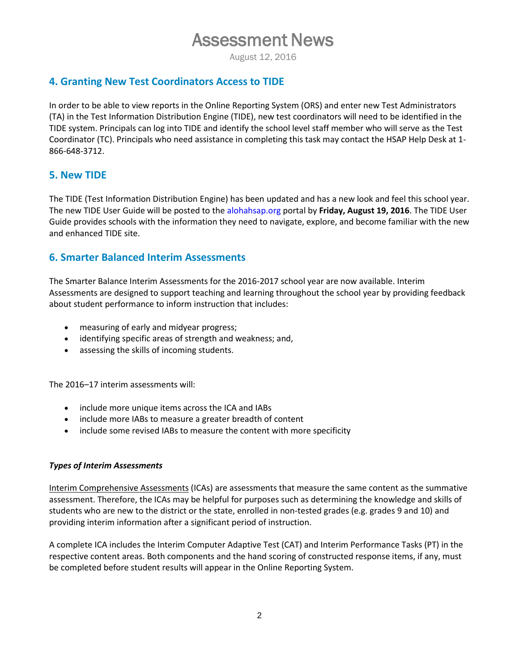# Assessment News

August 12, 2016

### **4. Granting New Test Coordinators Access to TIDE**

In order to be able to view reports in the Online Reporting System (ORS) and enter new Test Administrators (TA) in the Test Information Distribution Engine (TIDE), new test coordinators will need to be identified in the TIDE system. Principals can log into TIDE and identify the school level staff member who will serve as the Test Coordinator (TC). Principals who need assistance in completing this task may contact the HSAP Help Desk at 1- 866-648-3712.

## **5. New TIDE**

The TIDE (Test Information Distribution Engine) has been updated and has a new look and feel this school year. The new TIDE User Guide will be posted to the alohahsap.org portal by **Friday, August 19, 2016**. The TIDE User Guide provides schools with the information they need to navigate, explore, and become familiar with the new and enhanced TIDE site.

## **6. Smarter Balanced Interim Assessments**

The Smarter Balance Interim Assessments for the 2016-2017 school year are now available. Interim Assessments are designed to support teaching and learning throughout the school year by providing feedback about student performance to inform instruction that includes:

- measuring of early and midyear progress;
- identifying specific areas of strength and weakness; and,
- assessing the skills of incoming students.

The 2016–17 interim assessments will:

- include more unique items across the ICA and IABs
- include more IABs to measure a greater breadth of content
- include some revised IABs to measure the content with more specificity

#### *Types of Interim Assessments*

Interim Comprehensive Assessments (ICAs) are assessments that measure the same content as the summative assessment. Therefore, the ICAs may be helpful for purposes such as determining the knowledge and skills of students who are new to the district or the state, enrolled in non-tested grades (e.g. grades 9 and 10) and providing interim information after a significant period of instruction.

A complete ICA includes the Interim Computer Adaptive Test (CAT) and Interim Performance Tasks (PT) in the respective content areas. Both components and the hand scoring of constructed response items, if any, must be completed before student results will appear in the Online Reporting System.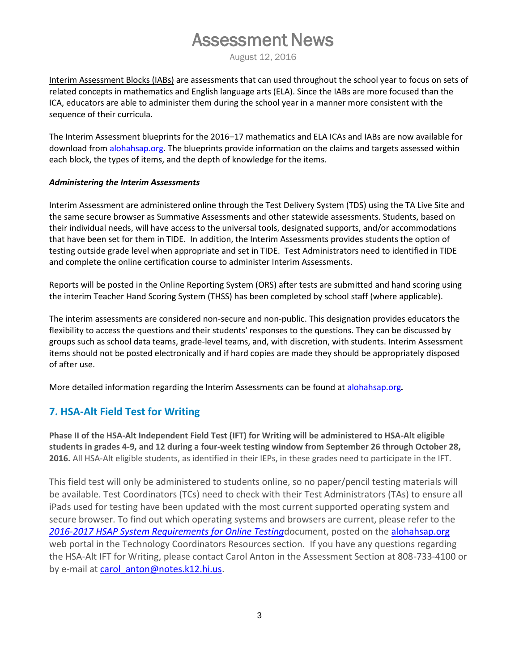# Assessment News

August 12, 2016

Interim Assessment Blocks (IABs) are assessments that can used throughout the school year to focus on sets of related concepts in mathematics and English language arts (ELA). Since the IABs are more focused than the ICA, educators are able to administer them during the school year in a manner more consistent with the sequence of their curricula.

The Interim Assessment blueprints for the 2016–17 mathematics and ELA ICAs and IABs are now available for download from alohahsap.org. The blueprints provide information on the claims and targets assessed within each block, the types of items, and the depth of knowledge for the items.

#### *Administering the Interim Assessments*

Interim Assessment are administered online through the Test Delivery System (TDS) using the TA Live Site and the same secure browser as Summative Assessments and other statewide assessments. Students, based on their individual needs, will have access to the universal tools, designated supports, and/or accommodations that have been set for them in TIDE. In addition, the Interim Assessments provides students the option of testing outside grade level when appropriate and set in TIDE. Test Administrators need to identified in TIDE and complete the online certification course to administer Interim Assessments.

Reports will be posted in the Online Reporting System (ORS) after tests are submitted and hand scoring using the interim Teacher Hand Scoring System (THSS) has been completed by school staff (where applicable).

The interim assessments are considered non-secure and non-public. This designation provides educators the flexibility to access the questions and their students' responses to the questions. They can be discussed by groups such as school data teams, grade-level teams, and, with discretion, with students. Interim Assessment items should not be posted electronically and if hard copies are made they should be appropriately disposed of after use.

More detailed information regarding the Interim Assessments can be found at alohahsap.org*.*

## **7. HSA-Alt Field Test for Writing**

**Phase II of the HSA-Alt Independent Field Test (IFT) for Writing will be administered to HSA-Alt eligible students in grades 4-9, and 12 during a four-week testing window from September 26 through October 28, 2016.** All HSA-Alt eligible students, as identified in their IEPs, in these grades need to participate in the IFT.

This field test will only be administered to students online, so no paper/pencil testing materials will be available. Test Coordinators (TCs) need to check with their Test Administrators (TAs) to ensure all iPads used for testing have been updated with the most current supported operating system and secure browser. To find out which operating systems and browsers are current, please refer to the *[2016-2017 HSAP System Requirements for Online Testing](http://alohahsap.org/SMARTERBALANCED/wp-content/uploads/System_Requirements_2016-2017.pdf)*document, posted on the [alohahsap.org](http://www.alohahsap.org/) web portal in the Technology Coordinators Resources section. If you have any questions regarding the HSA-Alt IFT for Writing, please contact Carol Anton in the Assessment Section at 808-733-4100 or by e-mail at carol anton@notes.k12.hi.us.